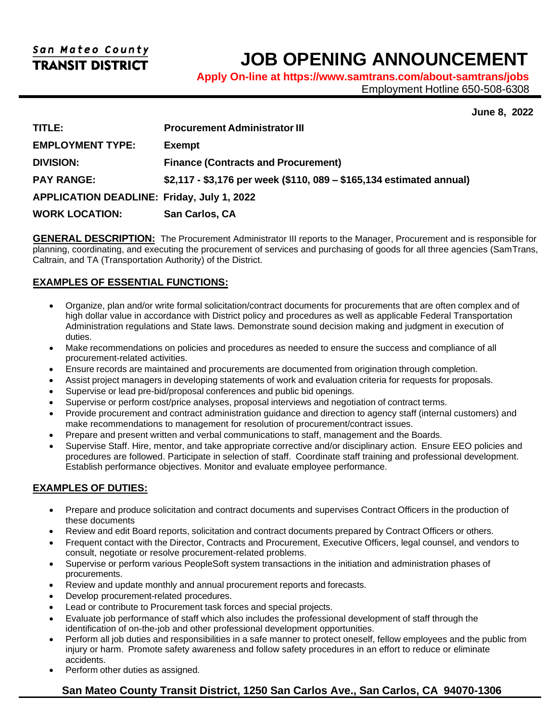# **JOB OPENING ANNOUNCEMENT**

**Apply On-line at <https://www.samtrans.com/about-samtrans/jobs>**

Employment Hotline 650-508-6308

**June 8, 2022**

| TITLE:                                            | <b>Procurement Administrator III</b>                                 |
|---------------------------------------------------|----------------------------------------------------------------------|
| <b>EMPLOYMENT TYPE:</b>                           | <b>Exempt</b>                                                        |
| <b>DIVISION:</b>                                  | <b>Finance (Contracts and Procurement)</b>                           |
| <b>PAY RANGE:</b>                                 | \$2,117 - \$3,176 per week (\$110, 089 – \$165,134 estimated annual) |
| <b>APPLICATION DEADLINE: Friday, July 1, 2022</b> |                                                                      |
| <b>WORK LOCATION:</b>                             | San Carlos, CA                                                       |

**GENERAL DESCRIPTION:** The Procurement Administrator III reports to the Manager, Procurement and is responsible for planning, coordinating, and executing the procurement of services and purchasing of goods for all three agencies (SamTrans, Caltrain, and TA (Transportation Authority) of the District.

## **EXAMPLES OF ESSENTIAL FUNCTIONS:**

- Organize, plan and/or write formal solicitation/contract documents for procurements that are often complex and of high dollar value in accordance with District policy and procedures as well as applicable Federal Transportation Administration regulations and State laws. Demonstrate sound decision making and judgment in execution of duties.
- Make recommendations on policies and procedures as needed to ensure the success and compliance of all procurement-related activities.
- Ensure records are maintained and procurements are documented from origination through completion.
- Assist project managers in developing statements of work and evaluation criteria for requests for proposals.
- Supervise or lead pre-bid/proposal conferences and public bid openings.
- Supervise or perform cost/price analyses, proposal interviews and negotiation of contract terms.
- Provide procurement and contract administration guidance and direction to agency staff (internal customers) and make recommendations to management for resolution of procurement/contract issues.
- Prepare and present written and verbal communications to staff, management and the Boards.
- Supervise Staff. Hire, mentor, and take appropriate corrective and/or disciplinary action. Ensure EEO policies and procedures are followed. Participate in selection of staff. Coordinate staff training and professional development. Establish performance objectives. Monitor and evaluate employee performance.

## **EXAMPLES OF DUTIES:**

- Prepare and produce solicitation and contract documents and supervises Contract Officers in the production of these documents
- Review and edit Board reports, solicitation and contract documents prepared by Contract Officers or others.
- Frequent contact with the Director, Contracts and Procurement, Executive Officers, legal counsel, and vendors to consult, negotiate or resolve procurement-related problems.
- Supervise or perform various PeopleSoft system transactions in the initiation and administration phases of procurements.
- Review and update monthly and annual procurement reports and forecasts.
- Develop procurement-related procedures.
- Lead or contribute to Procurement task forces and special projects.
- Evaluate job performance of staff which also includes the professional development of staff through the identification of on-the-job and other professional development opportunities.
- Perform all job duties and responsibilities in a safe manner to protect oneself, fellow employees and the public from injury or harm. Promote safety awareness and follow safety procedures in an effort to reduce or eliminate accidents.
- Perform other duties as assigned.

## **San Mateo County Transit District, 1250 San Carlos Ave., San Carlos, CA 94070-1306**